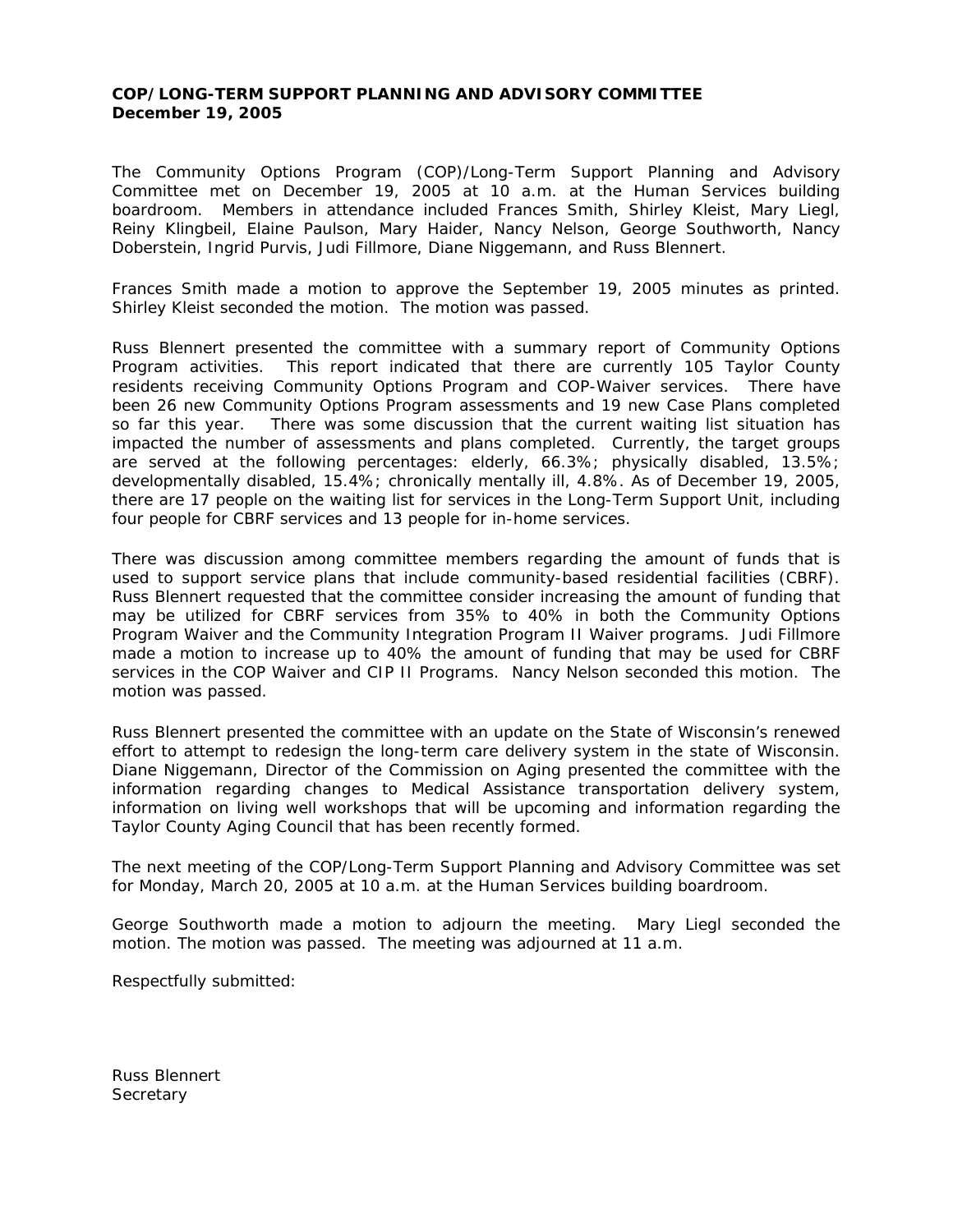## **COP/LONG-TERM SUPPORT PLANNING AND ADVISORY COMMITTEE December 19, 2005**

The Community Options Program (COP)/Long-Term Support Planning and Advisory Committee met on December 19, 2005 at 10 a.m. at the Human Services building boardroom. Members in attendance included Frances Smith, Shirley Kleist, Mary Liegl, Reiny Klingbeil, Elaine Paulson, Mary Haider, Nancy Nelson, George Southworth, Nancy Doberstein, Ingrid Purvis, Judi Fillmore, Diane Niggemann, and Russ Blennert.

Frances Smith made a motion to approve the September 19, 2005 minutes as printed. Shirley Kleist seconded the motion. The motion was passed.

Russ Blennert presented the committee with a summary report of Community Options Program activities. This report indicated that there are currently 105 Taylor County residents receiving Community Options Program and COP-Waiver services. There have been 26 new Community Options Program assessments and 19 new Case Plans completed so far this year. There was some discussion that the current waiting list situation has impacted the number of assessments and plans completed. Currently, the target groups are served at the following percentages: elderly, 66.3%; physically disabled, 13.5%; developmentally disabled, 15.4%; chronically mentally ill, 4.8%. As of December 19, 2005, there are 17 people on the waiting list for services in the Long-Term Support Unit, including four people for CBRF services and 13 people for in-home services.

There was discussion among committee members regarding the amount of funds that is used to support service plans that include community-based residential facilities (CBRF). Russ Blennert requested that the committee consider increasing the amount of funding that may be utilized for CBRF services from 35% to 40% in both the Community Options Program Waiver and the Community Integration Program II Waiver programs. Judi Fillmore made a motion to increase up to 40% the amount of funding that may be used for CBRF services in the COP Waiver and CIP II Programs. Nancy Nelson seconded this motion. The motion was passed.

Russ Blennert presented the committee with an update on the State of Wisconsin's renewed effort to attempt to redesign the long-term care delivery system in the state of Wisconsin. Diane Niggemann, Director of the Commission on Aging presented the committee with the information regarding changes to Medical Assistance transportation delivery system, information on living well workshops that will be upcoming and information regarding the Taylor County Aging Council that has been recently formed.

The next meeting of the COP/Long-Term Support Planning and Advisory Committee was set for Monday, March 20, 2005 at 10 a.m. at the Human Services building boardroom.

George Southworth made a motion to adjourn the meeting. Mary Liegl seconded the motion. The motion was passed. The meeting was adjourned at 11 a.m.

Respectfully submitted:

Russ Blennert **Secretary**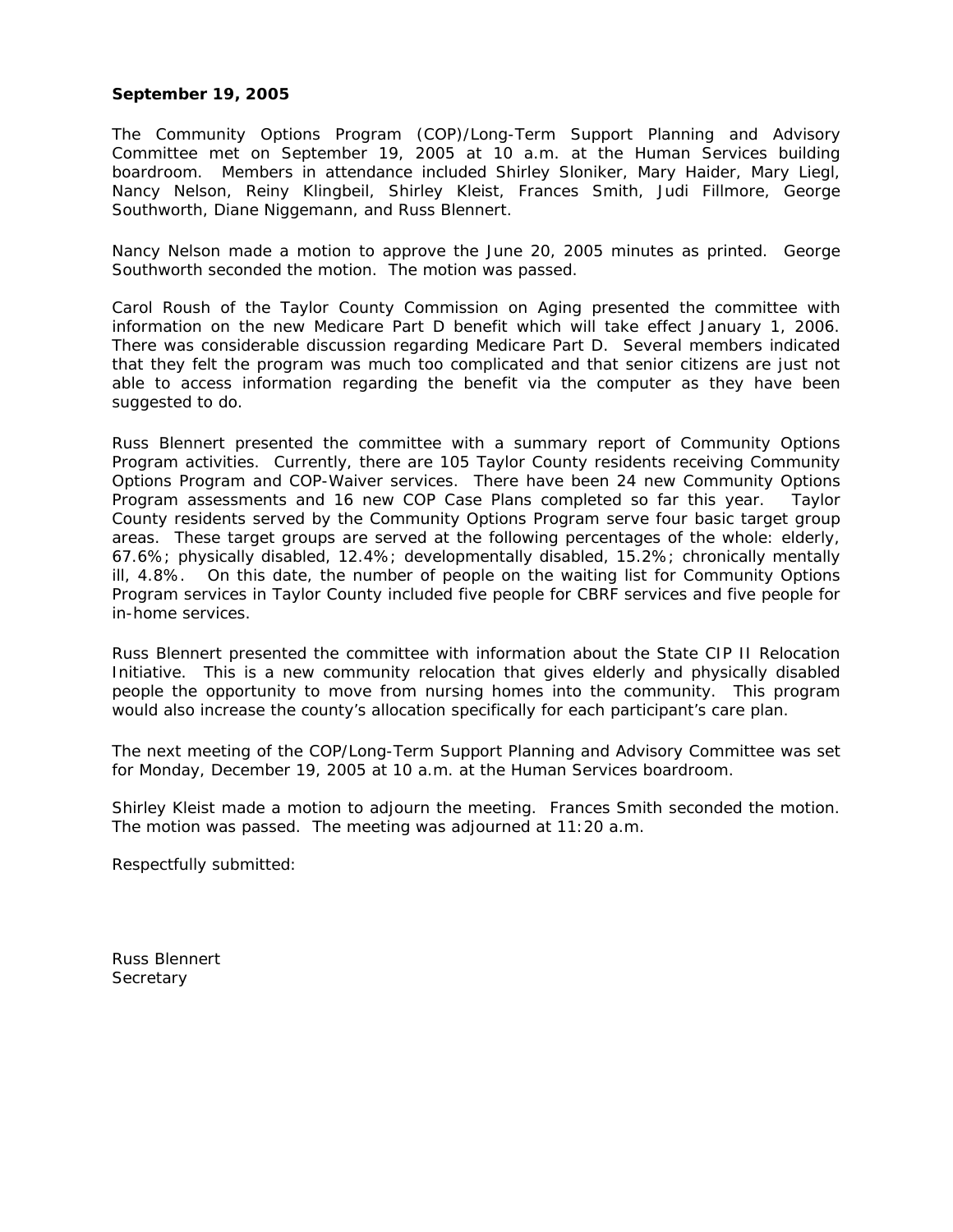## **September 19, 2005**

The Community Options Program (COP)/Long-Term Support Planning and Advisory Committee met on September 19, 2005 at 10 a.m. at the Human Services building boardroom. Members in attendance included Shirley Sloniker, Mary Haider, Mary Liegl, Nancy Nelson, Reiny Klingbeil, Shirley Kleist, Frances Smith, Judi Fillmore, George Southworth, Diane Niggemann, and Russ Blennert.

Nancy Nelson made a motion to approve the June 20, 2005 minutes as printed. George Southworth seconded the motion. The motion was passed.

Carol Roush of the Taylor County Commission on Aging presented the committee with information on the new Medicare Part D benefit which will take effect January 1, 2006. There was considerable discussion regarding Medicare Part D. Several members indicated that they felt the program was much too complicated and that senior citizens are just not able to access information regarding the benefit via the computer as they have been suggested to do.

Russ Blennert presented the committee with a summary report of Community Options Program activities. Currently, there are 105 Taylor County residents receiving Community Options Program and COP-Waiver services. There have been 24 new Community Options Program assessments and 16 new COP Case Plans completed so far this year. Taylor County residents served by the Community Options Program serve four basic target group areas. These target groups are served at the following percentages of the whole: elderly, 67.6%; physically disabled, 12.4%; developmentally disabled, 15.2%; chronically mentally ill, 4.8%. On this date, the number of people on the waiting list for Community Options Program services in Taylor County included five people for CBRF services and five people for in-home services.

Russ Blennert presented the committee with information about the State CIP II Relocation Initiative. This is a new community relocation that gives elderly and physically disabled people the opportunity to move from nursing homes into the community. This program would also increase the county's allocation specifically for each participant's care plan.

The next meeting of the COP/Long-Term Support Planning and Advisory Committee was set for Monday, December 19, 2005 at 10 a.m. at the Human Services boardroom.

Shirley Kleist made a motion to adjourn the meeting. Frances Smith seconded the motion. The motion was passed. The meeting was adjourned at 11:20 a.m.

Respectfully submitted:

Russ Blennert **Secretary**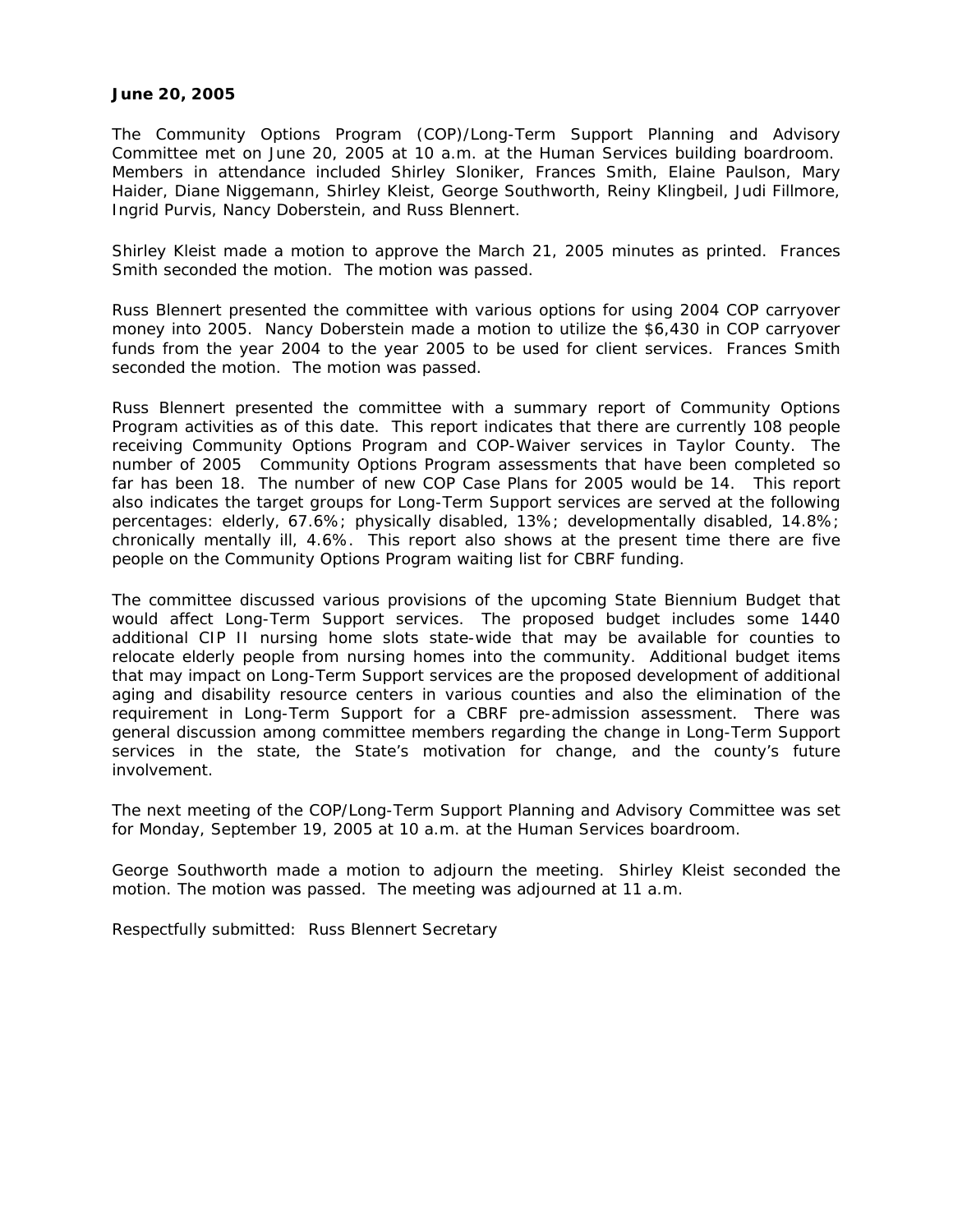## **June 20, 2005**

The Community Options Program (COP)/Long-Term Support Planning and Advisory Committee met on June 20, 2005 at 10 a.m. at the Human Services building boardroom. Members in attendance included Shirley Sloniker, Frances Smith, Elaine Paulson, Mary Haider, Diane Niggemann, Shirley Kleist, George Southworth, Reiny Klingbeil, Judi Fillmore, Ingrid Purvis, Nancy Doberstein, and Russ Blennert.

Shirley Kleist made a motion to approve the March 21, 2005 minutes as printed. Frances Smith seconded the motion. The motion was passed.

Russ Blennert presented the committee with various options for using 2004 COP carryover money into 2005. Nancy Doberstein made a motion to utilize the \$6,430 in COP carryover funds from the year 2004 to the year 2005 to be used for client services. Frances Smith seconded the motion. The motion was passed.

Russ Blennert presented the committee with a summary report of Community Options Program activities as of this date. This report indicates that there are currently 108 people receiving Community Options Program and COP-Waiver services in Taylor County. The number of 2005 Community Options Program assessments that have been completed so far has been 18. The number of new COP Case Plans for 2005 would be 14. This report also indicates the target groups for Long-Term Support services are served at the following percentages: elderly, 67.6%; physically disabled, 13%; developmentally disabled, 14.8%; chronically mentally ill, 4.6%. This report also shows at the present time there are five people on the Community Options Program waiting list for CBRF funding.

The committee discussed various provisions of the upcoming State Biennium Budget that would affect Long-Term Support services. The proposed budget includes some 1440 additional CIP II nursing home slots state-wide that may be available for counties to relocate elderly people from nursing homes into the community. Additional budget items that may impact on Long-Term Support services are the proposed development of additional aging and disability resource centers in various counties and also the elimination of the requirement in Long-Term Support for a CBRF pre-admission assessment. There was general discussion among committee members regarding the change in Long-Term Support services in the state, the State's motivation for change, and the county's future involvement.

The next meeting of the COP/Long-Term Support Planning and Advisory Committee was set for Monday, September 19, 2005 at 10 a.m. at the Human Services boardroom.

George Southworth made a motion to adjourn the meeting. Shirley Kleist seconded the motion. The motion was passed. The meeting was adjourned at 11 a.m.

Respectfully submitted: Russ Blennert Secretary